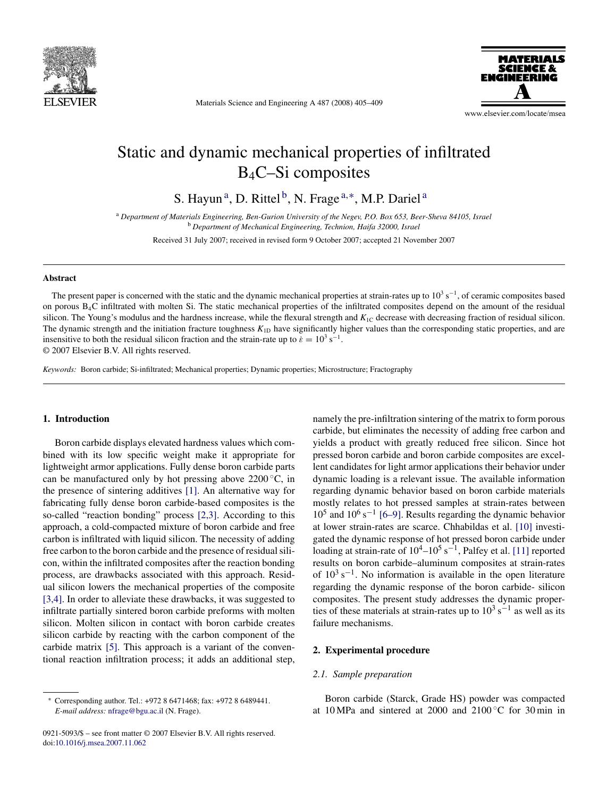

Materials Science and Engineering A 487 (2008) 405–409



www.elsevier.com/locate/msea

# Static and dynamic mechanical properties of infiltrated B4C–Si composites

S. Hayun<sup>a</sup>, D. Rittel<sup>b</sup>, N. Frage<sup>a,\*</sup>, M.P. Dariel<sup>a</sup>

<sup>a</sup> *Department of Materials Engineering, Ben-Gurion University of the Negev, P.O. Box 653, Beer-Sheva 84105, Israel* <sup>b</sup> *Department of Mechanical Engineering, Technion, Haifa 32000, Israel*

Received 31 July 2007; received in revised form 9 October 2007; accepted 21 November 2007

#### **Abstract**

The present paper is concerned with the static and the dynamic mechanical properties at strain-rates up to  $10<sup>3</sup>$  s<sup>−1</sup>, of ceramic composites based on porous B4C infiltrated with molten Si. The static mechanical properties of the infiltrated composites depend on the amount of the residual silicon. The Young's modulus and the hardness increase, while the flexural strength and  $K_{1C}$  decrease with decreasing fraction of residual silicon. The dynamic strength and the initiation fracture toughness  $K_{1D}$  have significantly higher values than the corresponding static properties, and are insensitive to both the residual silicon fraction and the strain-rate up to  $\dot{\epsilon} = 10^3 \text{ s}^{-1}$ . © 2007 Elsevier B.V. All rights reserved.

*Keywords:* Boron carbide; Si-infiltrated; Mechanical properties; Dynamic properties; Microstructure; Fractography

## **1. Introduction**

Boron carbide displays elevated hardness values which combined with its low specific weight make it appropriate for lightweight armor applications. Fully dense boron carbide parts can be manufactured only by hot pressing above  $2200 °C$ , in the presence of sintering additives [\[1\].](#page-4-0) An alternative way for fabricating fully dense boron carbide-based composites is the so-called "reaction bonding" process [\[2,3\].](#page-4-0) According to this approach, a cold-compacted mixture of boron carbide and free carbon is infiltrated with liquid silicon. The necessity of adding free carbon to the boron carbide and the presence of residual silicon, within the infiltrated composites after the reaction bonding process, are drawbacks associated with this approach. Residual silicon lowers the mechanical properties of the composite [\[3,4\]. I](#page-4-0)n order to alleviate these drawbacks, it was suggested to infiltrate partially sintered boron carbide preforms with molten silicon. Molten silicon in contact with boron carbide creates silicon carbide by reacting with the carbon component of the carbide matrix [\[5\].](#page-4-0) This approach is a variant of the conventional reaction infiltration process; it adds an additional step,

0921-5093/\$ – see front matter © 2007 Elsevier B.V. All rights reserved. doi[:10.1016/j.msea.2007.11.062](dx.doi.org/10.1016/j.msea.2007.11.062)

namely the pre-infiltration sintering of the matrix to form porous carbide, but eliminates the necessity of adding free carbon and yields a product with greatly reduced free silicon. Since hot pressed boron carbide and boron carbide composites are excellent candidates for light armor applications their behavior under dynamic loading is a relevant issue. The available information regarding dynamic behavior based on boron carbide materials mostly relates to hot pressed samples at strain-rates between  $10^5$  and  $10^6$  s<sup>-1</sup> [\[6–9\].](#page-4-0) Results regarding the dynamic behavior at lower strain-rates are scarce. Chhabildas et al. [\[10\]](#page-4-0) investigated the dynamic response of hot pressed boron carbide under loading at strain-rate of  $10^4$ – $10^5$  s<sup>-1</sup>, Palfey et al. [\[11\]](#page-4-0) reported results on boron carbide–aluminum composites at strain-rates of  $10^3$  s<sup>-1</sup>. No information is available in the open literature regarding the dynamic response of the boron carbide- silicon composites. The present study addresses the dynamic properties of these materials at strain-rates up to  $10^3$  s<sup>-1</sup> as well as its failure mechanisms.

# **2. Experimental procedure**

## *2.1. Sample preparation*

Boron carbide (Starck, Grade HS) powder was compacted at 10 MPa and sintered at 2000 and 2100 $\degree$ C for 30 min in

<sup>∗</sup> Corresponding author. Tel.: +972 8 6471468; fax: +972 8 6489441. *E-mail address:* [nfrage@bgu.ac.il](mailto:nfrage@bgu.ac.il) (N. Frage).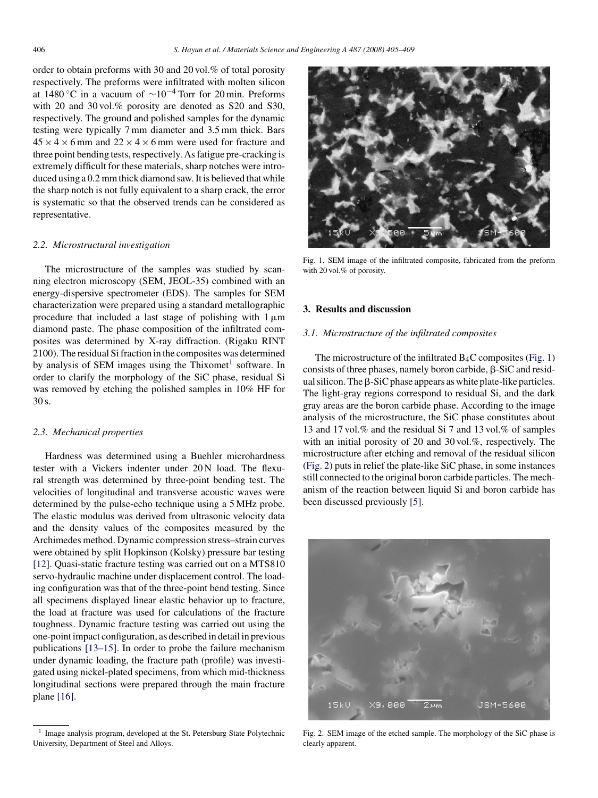order to obtain preforms with 30 and 20 vol.% of total porosity respectively. The preforms were infiltrated with molten silicon at 1480 °C in a vacuum of  $\sim 10^{-4}$  Torr for 20 min. Preforms with 20 and 30 vol.% porosity are denoted as S20 and S30. respectively. The ground and polished samples for the dynamic testing were typically 7 mm diameter and 3.5 mm thick. Bars  $45 \times 4 \times 6$  mm and  $22 \times 4 \times 6$  mm were used for fracture and three point bending tests, respectively. As fatigue pre-cracking is extremely difficult for these materials, sharp notches were introduced using a 0.2 mm thick diamond saw. It is believed that while the sharp notch is not fully equivalent to a sharp crack, the error is systematic so that the observed trends can be considered as representative.

## *2.2. Microstructural investigation*

The microstructure of the samples was studied by scanning electron microscopy (SEM, JEOL-35) combined with an energy-dispersive spectrometer (EDS). The samples for SEM characterization were prepared using a standard metallographic procedure that included a last stage of polishing with  $1 \mu m$ diamond paste. The phase composition of the infiltrated composites was determined by X-ray diffraction. (Rigaku RINT 2100). The residual Si fraction in the composites was determined by analysis of SEM images using the Thixomet<sup>1</sup> software. In order to clarify the morphology of the SiC phase, residual Si was removed by etching the polished samples in 10% HF for 30 s.

#### *2.3. Mechanical properties*

Hardness was determined using a Buehler microhardness tester with a Vickers indenter under 20 N load. The flexural strength was determined by three-point bending test. The velocities of longitudinal and transverse acoustic waves were determined by the pulse-echo technique using a 5 MHz probe. The elastic modulus was derived from ultrasonic velocity data and the density values of the composites measured by the Archimedes method. Dynamic compression stress–strain curves were obtained by split Hopkinson (Kolsky) pressure bar testing [\[12\].](#page-4-0) Quasi-static fracture testing was carried out on a MTS810 servo-hydraulic machine under displacement control. The loading configuration was that of the three-point bend testing. Since all specimens displayed linear elastic behavior up to fracture, the load at fracture was used for calculations of the fracture toughness. Dynamic fracture testing was carried out using the one-point impact configuration, as described in detail in previous publications [\[13–15\].](#page-4-0) In order to probe the failure mechanism under dynamic loading, the fracture path (profile) was investigated using nickel-plated specimens, from which mid-thickness longitudinal sections were prepared through the main fracture plane [\[16\].](#page-4-0)



Fig. 1. SEM image of the infiltrated composite, fabricated from the preform with 20 vol.% of porosity.

## **3. Results and discussion**

## *3.1. Microstructure of the infiltrated composites*

The microstructure of the infiltrated  $B_4C$  composites (Fig. 1) consists of three phases, namely boron carbide,  $\beta$ -SiC and residual silicon. The  $\beta$ -SiC phase appears as white plate-like particles. The light-gray regions correspond to residual Si, and the dark gray areas are the boron carbide phase. According to the image analysis of the microstructure, the SiC phase constitutes about 13 and 17 vol.% and the residual Si 7 and 13 vol.% of samples with an initial porosity of 20 and 30 vol.%, respectively. The microstructure after etching and removal of the residual silicon (Fig. 2) puts in relief the plate-like SiC phase, in some instances still connected to the original boron carbide particles. The mechanism of the reaction between liquid Si and boron carbide has been discussed previously [\[5\].](#page-4-0)



Fig. 2. SEM image of the etched sample. The morphology of the SiC phase is clearly apparent.

<sup>&</sup>lt;sup>1</sup> Image analysis program, developed at the St. Petersburg State Polytechnic University, Department of Steel and Alloys.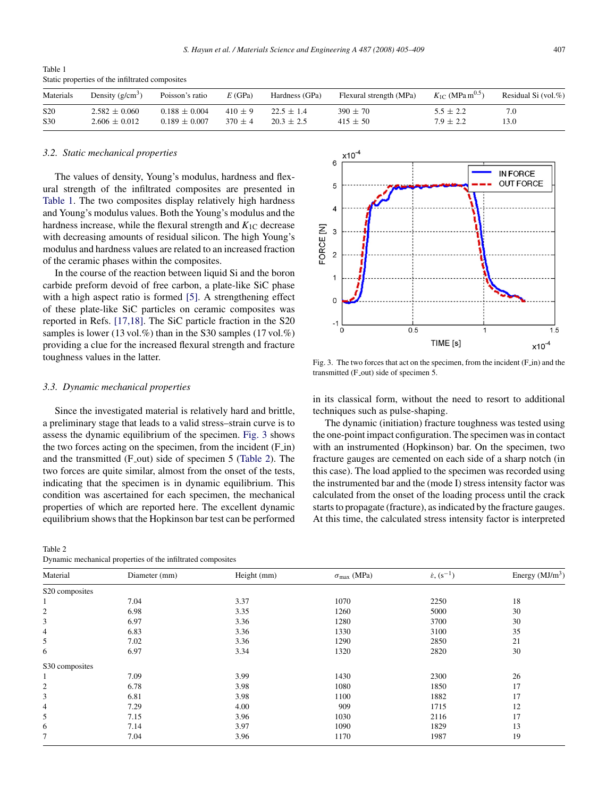<span id="page-2-0"></span>Table 1 Static properties of the infiltrated composites

| Materials       | Density $(g/cm^3)$ | Poisson's ratio   | E(GPa)      | Hardness (GPa) | Flexural strength (MPa) | $K_{1C}$ (MPa m <sup>0.5</sup> ) | Residual Si (vol.%) |
|-----------------|--------------------|-------------------|-------------|----------------|-------------------------|----------------------------------|---------------------|
| S <sub>20</sub> | $2.582 \pm 0.060$  | $0.188 \pm 0.004$ | $410 \pm 9$ | $22.5 \pm 1.4$ | $390 \pm 70$            | $5.5 \pm 2.2$                    | 7.0                 |
| S <sub>30</sub> | $2.606 + 0.012$    | $0.189 + 0.007$   | $370 \pm 4$ | $20.3 \pm 2.5$ | $415 \pm 50$            | $7.9 \pm 2.2$                    | 13.0                |

 $x10^{-4}$ 6

5

 $\overline{A}$ 

 $\overline{c}$ 

FORCE [N] 3

#### *3.2. Static mechanical properties*

The values of density, Young's modulus, hardness and flexural strength of the infiltrated composites are presented in Table 1. The two composites display relatively high hardness and Young's modulus values. Both the Young's modulus and the hardness increase, while the flexural strength and  $K_{1C}$  decrease with decreasing amounts of residual silicon. The high Young's modulus and hardness values are related to an increased fraction of the ceramic phases within the composites.

In the course of the reaction between liquid Si and the boron carbide preform devoid of free carbon, a plate-like SiC phase with a high aspect ratio is formed [\[5\].](#page-4-0) A strengthening effect of these plate-like SiC particles on ceramic composites was reported in Refs. [\[17,18\].](#page-4-0) The SiC particle fraction in the S20 samples is lower (13 vol.%) than in the S30 samples (17 vol.%) providing a clue for the increased flexural strength and fracture toughness values in the latter.

#### *3.3. Dynamic mechanical properties*

Since the investigated material is relatively hard and brittle, a preliminary stage that leads to a valid stress–strain curve is to assess the dynamic equilibrium of the specimen. Fig. 3 shows the two forces acting on the specimen, from the incident  $(F_{\text{in}})$ and the transmitted (F\_out) side of specimen 5 (Table 2). The two forces are quite similar, almost from the onset of the tests, indicating that the specimen is in dynamic equilibrium. This condition was ascertained for each specimen, the mechanical properties of which are reported here. The excellent dynamic equilibrium shows that the Hopkinson bar test can be performed

| Table 2                                                     |  |  |
|-------------------------------------------------------------|--|--|
| Dynamic mechanical properties of the infiltrated composites |  |  |



Fig. 3. The two forces that act on the specimen, from the incident (F\_in) and the transmitted (F<sub>out</sub>) side of specimen 5.

in its classical form, without the need to resort to additional techniques such as pulse-shaping.

The dynamic (initiation) fracture toughness was tested using the one-point impact configuration. The specimen was in contact with an instrumented (Hopkinson) bar. On the specimen, two fracture gauges are cemented on each side of a sharp notch (in this case). The load applied to the specimen was recorded using the instrumented bar and the (mode I) stress intensity factor was calculated from the onset of the loading process until the crack starts to propagate (fracture), as indicated by the fracture gauges. At this time, the calculated stress intensity factor is interpreted

| D Juanne meenamear properties or the immedied composites |             |                          |                                  |                  |  |  |  |  |
|----------------------------------------------------------|-------------|--------------------------|----------------------------------|------------------|--|--|--|--|
| Diameter (mm)                                            | Height (mm) | $\sigma_{\rm max}$ (MPa) | $\dot{\varepsilon}$ , $(s^{-1})$ | Energy $(MJ/m3)$ |  |  |  |  |
|                                                          |             |                          |                                  |                  |  |  |  |  |
| 7.04                                                     | 3.37        | 1070                     | 2250                             | 18               |  |  |  |  |
| 6.98                                                     | 3.35        | 1260                     | 5000                             | 30               |  |  |  |  |
| 6.97                                                     | 3.36        | 1280                     | 3700                             | 30               |  |  |  |  |
| 6.83                                                     | 3.36        | 1330                     | 3100                             | 35               |  |  |  |  |
| 7.02                                                     | 3.36        | 1290                     | 2850                             | 21               |  |  |  |  |
| 6.97                                                     | 3.34        | 1320                     | 2820                             | 30               |  |  |  |  |
|                                                          |             |                          |                                  |                  |  |  |  |  |
| 7.09                                                     | 3.99        | 1430                     | 2300                             | 26               |  |  |  |  |
| 6.78                                                     | 3.98        | 1080                     | 1850                             | 17               |  |  |  |  |
| 6.81                                                     | 3.98        | 1100                     | 1882                             | 17               |  |  |  |  |
| 7.29                                                     | 4.00        | 909                      | 1715                             | 12               |  |  |  |  |
| 7.15                                                     | 3.96        | 1030                     | 2116                             | 17               |  |  |  |  |
| 7.14                                                     | 3.97        | 1090                     | 1829                             | 13               |  |  |  |  |
| 7.04                                                     | 3.96        | 1170                     | 1987                             | 19               |  |  |  |  |
|                                                          |             |                          |                                  |                  |  |  |  |  |

**IN FORCE OUT FORCE**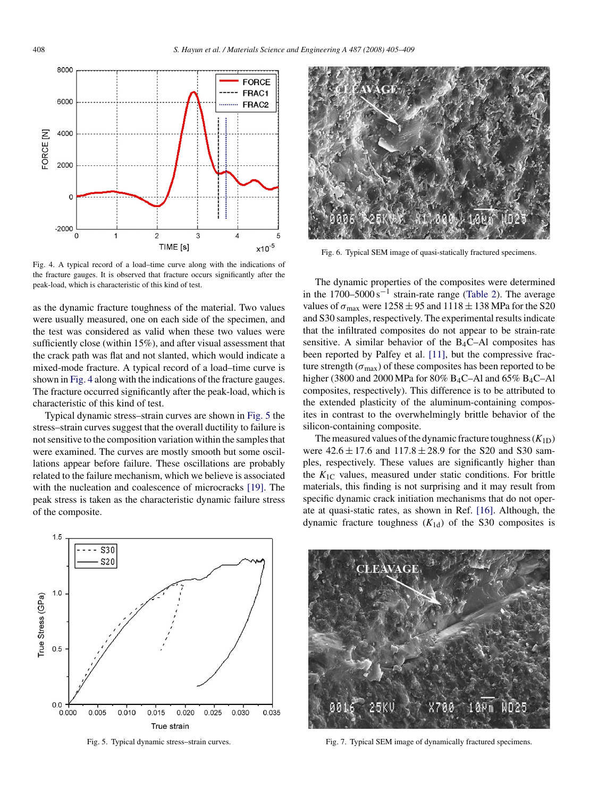<span id="page-3-0"></span>

Fig. 4. A typical record of a load–time curve along with the indications of the fracture gauges. It is observed that fracture occurs significantly after the peak-load, which is characteristic of this kind of test.

as the dynamic fracture toughness of the material. Two values were usually measured, one on each side of the specimen, and the test was considered as valid when these two values were sufficiently close (within 15%), and after visual assessment that the crack path was flat and not slanted, which would indicate a mixed-mode fracture. A typical record of a load–time curve is shown in Fig. 4 along with the indications of the fracture gauges. The fracture occurred significantly after the peak-load, which is characteristic of this kind of test.

Typical dynamic stress–strain curves are shown in Fig. 5 the stress–strain curves suggest that the overall ductility to failure is not sensitive to the composition variation within the samples that were examined. The curves are mostly smooth but some oscillations appear before failure. These oscillations are probably related to the failure mechanism, which we believe is associated with the nucleation and coalescence of microcracks [\[19\].](#page-4-0) The peak stress is taken as the characteristic dynamic failure stress of the composite.



Fig. 5. Typical dynamic stress–strain curves.



Fig. 6. Typical SEM image of quasi-statically fractured specimens.

The dynamic properties of the composites were determined in the  $1700-5000$  s<sup>-1</sup> strain-rate range [\(Table 2\).](#page-2-0) The average values of  $\sigma_{\text{max}}$  were  $1258 \pm 95$  and  $1118 \pm 138$  MPa for the S20 and S30 samples, respectively. The experimental results indicate that the infiltrated composites do not appear to be strain-rate sensitive. A similar behavior of the  $B_4C-A1$  composites has been reported by Palfey et al. [\[11\],](#page-4-0) but the compressive fracture strength ( $\sigma_{\text{max}}$ ) of these composites has been reported to be higher (3800 and 2000 MPa for 80% B<sub>4</sub>C–Al and 65% B<sub>4</sub>C–Al composites, respectively). This difference is to be attributed to the extended plasticity of the aluminum-containing composites in contrast to the overwhelmingly brittle behavior of the silicon-containing composite.

The measured values of the dynamic fracture toughness  $(K_{1D})$ were  $42.6 \pm 17.6$  and  $117.8 \pm 28.9$  for the S20 and S30 samples, respectively. These values are significantly higher than the  $K_{1C}$  values, measured under static conditions. For brittle materials, this finding is not surprising and it may result from specific dynamic crack initiation mechanisms that do not operate at quasi-static rates, as shown in Ref. [\[16\].](#page-4-0) Although, the dynamic fracture toughness  $(K_{1d})$  of the S30 composites is



Fig. 7. Typical SEM image of dynamically fractured specimens.